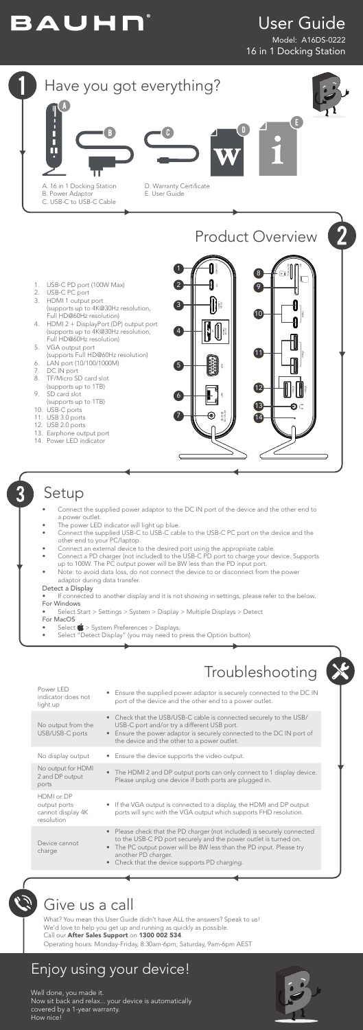### Setup

# BAUHN®

### User Guide

Model: A16DS-0222 16 in 1 Docking Station



- 1. USB-C PD port (100W Max)<br>2. USB-C PC port
- 2. USB-C PC port<br>3. HDMI 1 output
- HDMI 1 output port (supports up to 4K@30Hz resolution, Full HD@60Hz resolution)
- 4. HDMI 2 + DisplayPort (DP) output port (supports up to 4K@30Hz resolution, Full HD@60Hz resolution)
- 5. VGA output port (supports Full HD@60Hz resolution)
- 6. LAN port (10/100/1000M)
- 
- 7. DC IN port<br>8. TF/Micro S TF/Micro SD card slot
- (supports up to 1TB)
- 9. SD card slot (supports up to 1TB)
- 10. USB-C ports
- 11. USB 3.0 ports
- 12. USB 2.0 ports
- 13. Earphone output port
- 14. Power LED indicator

If connected to another display and it is not showing in settings, please refer to the below. For Windows

- Connect the supplied power adaptor to the DC IN port of the device and the other end to a power outlet.
- The power LED indicator will light up blue.
- Connect the supplied USB-C to USB-C cable to the USB-C PC port on the device and the other end to your PC/laptop.
- Connect an external device to the desired port using the appropriate cable.
- Connect a PD charger (not included) to the USB-C PD port to charge your device. Supports up to 100W. The PC output power will be 8W less than the PD input port.
- Note: to avoid data loss, do not connect the device to or disconnect from the power adaptor during data transfer.

The HDMI 2 and DP output ports can only connect to 1 display device.

the device and the other to a power outlet. No display output • Ensure the device supports the video output.

#### Detect a Display

- Select Start > Settings > System > Display > Multiple Displays > Detect
- For MacOS





What? You mean this User Guide didn't have ALL the answers? Speak to us! We'd love to help you get up and running as quickly as possible. Call our After Sales Support on 1300 002 534.

Operating hours: Monday-Friday, 8:30am-6pm; Saturday, 9am-6pm AEST

Power LED indicator does not

light up

- $Select \bullet > System$  Preferences > Displays.
- Select "Detect Display" (you may need to press the Option button)

| Troubleshooting                                                                                                                                                                                                                       |  |
|---------------------------------------------------------------------------------------------------------------------------------------------------------------------------------------------------------------------------------------|--|
| Ensure the supplied power adaptor is securely connected to the DC IN<br>port of the device and the other end to a power outlet.                                                                                                       |  |
| Check that the USB/USB-C cable is connected securely to the USB/<br>USB-C port and/or try a different USB port.<br>Ensure the power adaptor is securely connected to the DC IN port of<br>the device and the other to a power outlet. |  |
|                                                                                                                                                                                                                                       |  |

No output from the USB/USB-C ports

No output for HDMI 2 and DP output

| L UITU DI VULPUL<br>ports                                     | Please unplug one device if both ports are plugged in.                                                                                                                                                                                                                                     |
|---------------------------------------------------------------|--------------------------------------------------------------------------------------------------------------------------------------------------------------------------------------------------------------------------------------------------------------------------------------------|
| HDMI or DP<br>output ports<br>cannot display 4K<br>resolution | • If the VGA output is connected to a display, the HDMI and DP output<br>ports will sync with the VGA output which supports FHD resolution.                                                                                                                                                |
| Device cannot<br>charge                                       | • Please check that the PD charger (not included) is securely connected<br>to the USB-C PD port securely and the power outlet is turned on.<br>• The PC output power will be 8W less than the PD input. Please try<br>another PD charger.<br>• Check that the device supports PD charging. |

Well done, you made it. Now sit back and relax... your device is automatically covered by a 1-year warranty. How nice!



### Enjoy using your device!